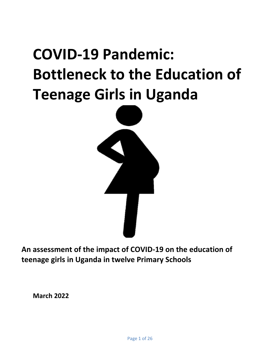# **COVID-19 Pandemic: Bottleneck to the Education of Teenage Girls in Uganda**



**An assessment of the impact of COVID-19 on the education of teenage girls in Uganda in twelve Primary Schools**

**March 2022**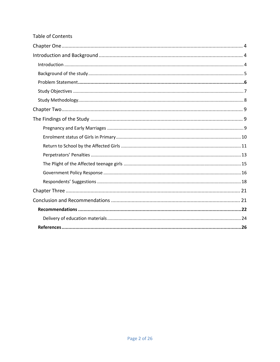# **Table of Contents**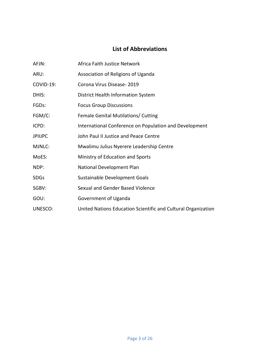# **List of Abbreviations**

| AFJN:              | Africa Faith Justice Network                                  |
|--------------------|---------------------------------------------------------------|
| ARU:               | Association of Religions of Uganda                            |
| <b>COVID-19:</b>   | Corona Virus Disease-2019                                     |
| DHIS:              | District Health Information System                            |
| FGD <sub>s</sub> : | <b>Focus Group Discussions</b>                                |
| FGM/C:             | Female Genital Mutilations/ Cutting                           |
| ICPD:              | International Conference on Population and Development        |
| <b>JPIIJPC</b>     | John Paul II Justice and Peace Centre                         |
| MJNLC:             | Mwalimu Julius Nyerere Leadership Centre                      |
| MoES:              | Ministry of Education and Sports                              |
| NDP:               | National Development Plan                                     |
| <b>SDGs</b>        | Sustainable Development Goals                                 |
| SGBV:              | Sexual and Gender Based Violence                              |
| GOU:               | Government of Uganda                                          |
| UNESCO:            | United Nations Education Scientific and Cultural Organization |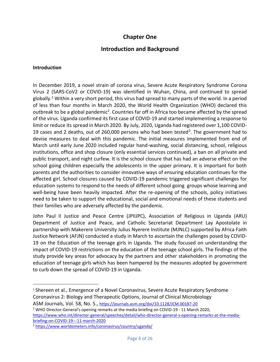# **Chapter One**

# **Introduction and Background**

#### <span id="page-3-2"></span><span id="page-3-1"></span><span id="page-3-0"></span>**Introduction**

 $\overline{\phantom{a}}$ 

In December 2019, a novel strain of corona virus, Severe Acute Respiratory Syndrome Corona Virus 2 (SARS-CoV2 or COVID-19) was identified in Wuhan, China, and continued to spread globally. <sup>1</sup> Within a very short period, this virus had spread to many parts of the world. In a period of less than four months in March 2020, the World Health Organization (WHO) declared this outbreak to be a global pandemic<sup>2</sup>. Countries far off in Africa too became affected by the spread of the virus. Uganda confirmed its first case of COVID-19 and started implementing a response to limit or reduce its spread in March 2020. By July, 2020, Uganda had registered over 1,100 COVID-19 cases and 2 deaths, out of 260,000 persons who had been tested<sup>3</sup>. The government had to devise measures to deal with this pandemic. The initial measures implemented from end of March until early June 2020 included regular hand-washing, social distancing, school, religious institutions, office and shop closure (only essential services continued), a ban on all private and public transport, and night curfew. It is the school closure that has had an adverse effect on the school going children especially the adolescents in the upper primary. It is important for both parents and the authorities to consider innovative ways of ensuring education continues for the affected girl. School closures caused by COVID-19 pandemic triggered significant challenges for education systems to respond to the needs of different school going groups whose learning and well-being have been heavily impacted. After the re-opening of the schools, policy initiatives need to be taken to support the educational, social and emotional needs of these students and their families who are adversely affected by the pandemic.

John Paul II Justice and Peace Centre (JPIIJPC), Association of Religious in Uganda (ARU) Department of Justice and Peace, and Catholic Secretariat Department Lay Apostolate in partnership with Makerere University Julius Nyerere Institute (MJNLC) supported by Africa Faith Justice Network (AFJN) conducted a study in March to ascertain the challenges posed by COVID-19 on the Education of the teenage girls in Uganda. The study focused on understanding the impact of COVID-19 restrictions on the education of the teenage school girls. The findings of the study provide key areas for advocacy by the partners and other stakeholders in promoting the education of teenage girls which has been hampered by the measures adopted by government to curb down the spread of COVID-19 in Uganda.

<sup>2</sup> WHO Director-General's opening remarks at the media briefing on COVID-19 - 11 March 2020, [https://www.who.int/director-general/speeches/detail/who-director-general-s-opening-remarks-at-the-media](https://www.who.int/director-general/speeches/detail/who-director-general-s-opening-remarks-at-the-media-briefing-on-covid-19---11-march-2020)[briefing-on-COVID-19---11-march-2020](https://www.who.int/director-general/speeches/detail/who-director-general-s-opening-remarks-at-the-media-briefing-on-covid-19---11-march-2020)

<sup>3</sup> <https://www.worldometers.info/coronavirus/country/uganda/>

<sup>1</sup> Shereen et al., Emergence of a Novel Coronavirus, Severe Acute Respiratory Syndrome Coronavirus 2: Biology and Therapeutic Options, Journal of Clinical Microbiology ASM Journals, Vol. 58, No. 5., <https://journals.asm.org/doi/10.1128/JCM.00187-20>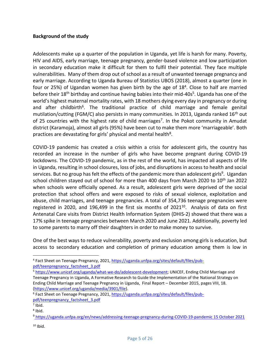#### <span id="page-4-0"></span>**Background of the study**

Adolescents make up a quarter of the population in Uganda, yet life is harsh for many. Poverty, HIV and AIDS, early marriage, teenage pregnancy, gender-based violence and low participation in secondary education make it difficult for them to fulfil their potential. They face multiple vulnerabilities. Many of them drop out of school as a result of unwanted teenage pregnancy and early marriage. According to Uganda Bureau of Statistics UBOS (2018), almost a quarter (one in four or 25%) of Ugandan women has given birth by the age of 18<sup>4</sup>. Close to half are married before their 18<sup>th</sup> birthday and continue having babies into their mid-40s<sup>5</sup>. Uganda has one of the world's highest maternal mortality rates, with 18 mothers dying every day in pregnancy or during and after childbirth<sup>6</sup>. The traditional practice of child marriage and female genital mutilation/cutting (FGM/C) also persists in many communities. In 2013, Uganda ranked 16<sup>th</sup> out of 25 countries with the highest rate of child marriages<sup>7</sup>. In the Pokot community in Amudat district (Karamoja), almost all girls (95%) have been cut to make them more 'marriageable'. Both practices are devastating for girls' physical and mental health<sup>8</sup>.

COVID-19 pandemic has created a crisis within a crisis for adolescent girls, the country has recorded an increase in the number of girls who have become pregnant during COVID-19 lockdowns. The COVID-19 pandemic, as in the rest of the world, has impacted all aspects of life in Uganda, resulting in school closures, loss of jobs, and disruptions in access to health and social services. But no group has felt the effects of the pandemic more than adolescent girls<sup>9</sup>. Ugandan school children stayed out of school for more than 400 days from March 2020 to 10<sup>th</sup> Jan 2022 when schools were officially opened. As a result, adolescent girls were deprived of the social protection that school offers and were exposed to risks of sexual violence, exploitation and abuse, child marriages, and teenage pregnancies. A total of 354,736 teenage pregnancies were registered in 2020, and 196,499 in the first six months of 2021 $^{10}$ . Analysis of data on first Antenatal Care visits from District Health Information System (DHIS-2) showed that there was a 17% spike in teenage pregnancies between March 2020 and June 2021. Additionally, poverty led to some parents to marry off their daughters in order to make money to survive.

One of the best ways to reduce vulnerability, poverty and exclusion among girls is education, but access to secondary education and completion of primary education among them is low in

 $\overline{a}$ 

 $10$  Ibid.

<sup>&</sup>lt;sup>4</sup> Fact Sheet on Teenage Pregnancy, 2021, [https://uganda.unfpa.org/sites/default/files/pub](https://uganda.unfpa.org/sites/default/files/pub-pdf/teenpregnancy_factsheet_3.pdf)[pdf/teenpregnancy\\_factsheet\\_3.pdf](https://uganda.unfpa.org/sites/default/files/pub-pdf/teenpregnancy_factsheet_3.pdf)

<sup>5</sup> [https://www.unicef.org/uganda/what-we-do/adolescent-development;](https://www.unicef.org/uganda/what-we-do/adolescent-development) UNICEF, Ending Child Marriage and Teenage Pregnancy in Uganda, A Formative Research to Guide the Implementation of the National Strategy on Ending Child Marriage and Teenage Pregnancy in Uganda, Final Report – December 2015, pages VIII, 18. [\(https://www.unicef.org/uganda/media/3901/file\)](https://www.unicef.org/uganda/media/3901/file).

<sup>&</sup>lt;sup>6</sup> Fact Sheet on Teenage Pregnancy, 2021, [https://uganda.unfpa.org/sites/default/files/pub](https://uganda.unfpa.org/sites/default/files/pub-pdf/teenpregnancy_factsheet_3.pdf)[pdf/teenpregnancy\\_factsheet\\_3.pdf](https://uganda.unfpa.org/sites/default/files/pub-pdf/teenpregnancy_factsheet_3.pdf)

 $<sup>7</sup>$  Ibid.</sup>

<sup>&</sup>lt;sup>8</sup> Ibid.

<sup>9</sup> [https://uganda.unfpa.org/en/news/addressing-teenage-pregnancy-during-COVID-19-pandemic](https://uganda.unfpa.org/en/news/addressing-teenage-pregnancy-during-covid-19-pandemic) 15 October 2021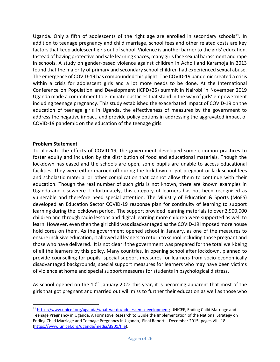Uganda. Only a fifth of adolescents of the right age are enrolled in secondary schools<sup>11</sup>. In addition to teenage pregnancy and child marriage, school fees and other related costs are key factors that keep adolescent girls out of school. Violence is another barrier to the girls' education. Instead of having protective and safe learning spaces, many girls face sexual harassment and rape in schools. A study on gender-based violence against children in Acholi and Karamoja in 2013 found that the majority of primary and secondary school children had experienced sexual abuse. The emergence of COVID-19 has compounded this plight. The COVID-19 pandemic created a crisis within a crisis for adolescent girls and a lot more needs to be done. At the International Conference on Population and Development (ICPD+25) summit in Nairobi in November 2019 Uganda made a commitment to eliminate obstacles that stand in the way of girls' empowerment including teenage pregnancy. This study established the exacerbated impact of COVID-19 on the education of teenage girls in Uganda, the effectiveness of measures by the government to address the negative impact, and provide policy options in addressing the aggravated impact of COVID-19 pandemic on the education of the teenage girls.

#### <span id="page-5-0"></span>**Problem Statement**

 $\overline{a}$ 

To alleviate the effects of COVID-19, the government developed some common practices to foster equity and inclusion by the distribution of food and educational materials. Though the lockdown has eased and the schools are open, some pupils are unable to access educational facilities. They were either married off during the lockdown or got pregnant or lack school fees and scholastic material or other complication that cannot allow them to continue with their education. Though the real number of such girls is not known, there are known examples in Uganda and elsewhere. Unfortunately, this category of learners has not been recognised as vulnerable and therefore need special attention. The Ministry of Education & Sports (MoES) developed an Education Sector COVID-19 response plan for continuity of learning to support learning during the lockdown period. The support provided learning materials to over 2,900,000 children and through radio lessons and digital learning more children were supported as well to learn. However, even then the girl child was disadvantaged as the COVID-19 imposed more house hold cores on them. As the government opened school in January, as one of the measures to ensure inclusive education, it allowed all leaners to return to school including those pregnant and those who have delivered. It is not clear if the government was prepared for the total well-being of all the learners by this policy. Many countries, in opening school after lockdown, planned to provide counselling for pupils, special support measures for learners from socio-economically disadvantaged backgrounds, special support measures for learners who may have been victims of violence at home and special support measures for students in psychological distress.

As school opened on the 10<sup>th</sup> January 2022 this year, it is becoming apparent that most of the girls that got pregnant and married out will miss to further their education as well as those who

<sup>11</sup> [https://www.unicef.org/uganda/what-we-do/adolescent-development;](https://www.unicef.org/uganda/what-we-do/adolescent-development) UNICEF, Ending Child Marriage and Teenage Pregnancy in Uganda, A Formative Research to Guide the Implementation of the National Strategy on Ending Child Marriage and Teenage Pregnancy in Uganda, Final Report – December 2015, pages VIII, 18. [\(https://www.unicef.org/uganda/media/3901/file\)](https://www.unicef.org/uganda/media/3901/file).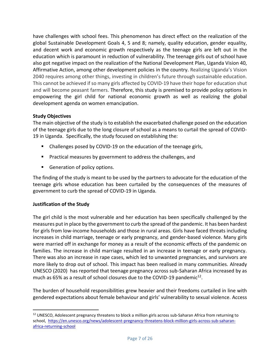have challenges with school fees. This phenomenon has direct effect on the realization of the global Sustainable Development Goals 4, 5 and 8; namely, quality education, gender equality, and decent work and economic growth respectively as the teenage girls are left out in the education which is paramount in reduction of vulnerability. The teenage girls out of school have also got negative impact on the realization of the National Development Plan, Uganda Vision 40, Affirmative Action, among other development policies in the country. Realizing Uganda's Vision 2040 requires among other things, investing in children's future through sustainable education. This cannot be achieved if so many girls affected by COVID-19 have their hope for education shut and will become peasant farmers. Therefore, this study is premised to provide policy options in empowering the girl child for national economic growth as well as realizing the global development agenda on women emancipation.

# <span id="page-6-0"></span>**Study Objectives**

The main objective of the study is to establish the exacerbated challenge posed on the education of the teenage girls due to the long closure of school as a means to curtail the spread of COVID-19 in Uganda. Specifically, the study focused on establishing the:

- Challenges posed by COVID-19 on the education of the teenage girls,
- **Practical measures by government to address the challenges, and**
- Generation of policy options.

The finding of the study is meant to be used by the partners to advocate for the education of the teenage girls whose education has been curtailed by the consequences of the measures of government to curb the spread of COVID-19 in Uganda.

#### **Justification of the Study**

The girl child is the most vulnerable and her education has been specifically challenged by the measures put in place by the government to curb the spread of the pandemic. It has been hardest for girls from low-income households and those in rural areas. Girls have faced threats including increases in child marriage, teenage or early pregnancy, and gender-based violence. Many girls were married off in exchange for money as a result of the economic effects of the pandemic on families. The increase in child marriage resulted in an increase in teenage or early pregnancy. There was also an increase in rape cases, which led to unwanted pregnancies, and survivors are more likely to drop out of school. This impact has been realised in many communities. Already UNESCO (2020) has reported that teenage pregnancy across sub-Saharan Africa increased by as much as 65% as a result of school closures due to the COVID-19 pandemic<sup>12</sup>.

The burden of household responsibilities grew heavier and their freedoms curtailed in line with gendered expectations about female behaviour and girls' vulnerability to sexual violence. Access

 $\overline{\phantom{a}}$ <sup>12</sup> UNESCO, Adolescent pregnancy threatens to block a million girls across sub-Saharan Africa from returning to school, [https://en.unesco.org/news/adolescent-pregnancy-threatens-block-million-girls-across-sub-saharan](https://en.unesco.org/news/adolescent-pregnancy-threatens-block-million-girls-across-sub-saharan-africa-returning-school)[africa-returning-school](https://en.unesco.org/news/adolescent-pregnancy-threatens-block-million-girls-across-sub-saharan-africa-returning-school)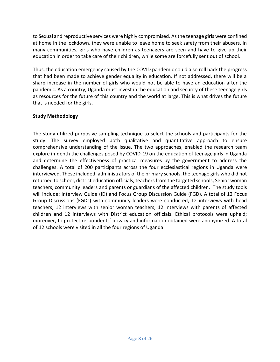to Sexual and reproductive services were highly compromised. As the teenage girls were confined at home in the lockdown, they were unable to leave home to seek safety from their abusers. In many communities, girls who have children as teenagers are seen and have to give up their education in order to take care of their children, while some are forcefully sent out of school.

Thus, the education emergency caused by the COVID pandemic could also roll back the progress that had been made to achieve gender equality in education. If not addressed, there will be a sharp increase in the number of girls who would not be able to have an education after the pandemic. As a country, Uganda must invest in the education and security of these teenage girls as resources for the future of this country and the world at large. This is what drives the future that is needed for the girls.

#### <span id="page-7-0"></span>**Study Methodology**

The study utilized purposive sampling technique to select the schools and participants for the study. The survey employed both qualitative and quantitative approach to ensure comprehensive understanding of the issue. The two approaches, enabled the research team explore in-depth the challenges posed by COVID-19 on the education of teenage girls in Uganda and determine the effectiveness of practical measures by the government to address the challenges. A total of 200 participants across the four ecclesiastical regions in Uganda were interviewed. These included: administrators of the primary schools, the teenage girls who did not returned to school, district education officials, teachers from the targeted schools, Senior woman teachers, community leaders and parents or guardians of the affected children. The study tools will include: Interview Guide (ID) and Focus Group Discussion Guide (FGD). A total of 12 Focus Group Discussions (FGDs) with community leaders were conducted, 12 interviews with head teachers, 12 interviews with senior woman teachers, 12 interviews with parents of affected children and 12 interviews with District education officials. Ethical protocols were upheld; moreover, to protect respondents' privacy and information obtained were anonymized. A total of 12 schools were visited in all the four regions of Uganda.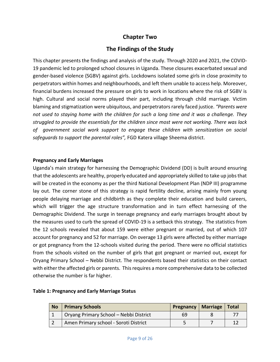# **Chapter Two**

# **The Findings of the Study**

<span id="page-8-1"></span><span id="page-8-0"></span>This chapter presents the findings and analysis of the study. Through 2020 and 2021, the COVID-19 pandemic led to prolonged school closures in Uganda. These closures exacerbated sexual and gender-based violence (SGBV) against girls. Lockdowns isolated some girls in close proximity to perpetrators within homes and neighbourhoods, and left them unable to access help. Moreover, financial burdens increased the pressure on girls to work in locations where the risk of SGBV is high. Cultural and social norms played their part, including through child marriage. Victim blaming and stigmatization were ubiquitous, and perpetrators rarely faced justice. *"Parents were not used to staying home with the children for such a long time and it was a challenge. They struggled to provide the essentials for the children since most were not working. There was lack of government social work support to engage these children with sensitization on social safeguards to support the parental roles",* FGD Katera village Sheema district.

#### <span id="page-8-2"></span>**Pregnancy and Early Marriages**

Uganda's main strategy for harnessing the Demographic Dividend (DD) is built around ensuring that the adolescents are healthy, properly educated and appropriately skilled to take up jobs that will be created in the economy as per the third National Development Plan (NDP III) programme lay out. The corner stone of this strategy is rapid fertility decline, arising mainly from young people delaying marriage and childbirth as they complete their education and build careers, which will trigger the age structure transformation and in turn effect harnessing of the Demographic Dividend. The surge in teenage pregnancy and early marriages brought about by the measures used to curb the spread of COVID-19 is a setback this strategy. The statistics from the 12 schools revealed that about 159 were either pregnant or married, out of which 107 account for pregnancy and 52 for marriage. On overage 13 girls were affected by either marriage or got pregnancy from the 12-schools visited during the period. There were no official statistics from the schools visited on the number of girls that got pregnant or married out, except for Oryang Primary School – Nebbi District. The respondents based their statistics on their contact with either the affected girls or parents. This requires a more comprehensive data to be collected otherwise the number is far higher.

| <b>No</b> | <b>Primary Schools</b>                 | Pregnancy   Marriage   Total |  |
|-----------|----------------------------------------|------------------------------|--|
|           | Oryang Primary School - Nebbi District | 69                           |  |
|           | Amen Primary school - Soroti District  |                              |  |

#### **Table 1: Pregnancy and Early Marriage Status**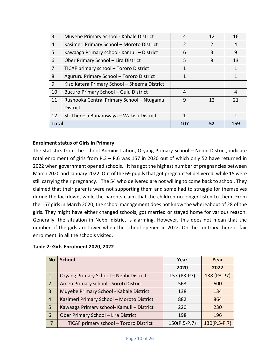| $\overline{3}$ | Muyebe Primary School - Kabale District      | 4             | 12            | 16  |
|----------------|----------------------------------------------|---------------|---------------|-----|
| 4              | Kasimeri Primary School - Moroto District    | $\mathcal{P}$ | $\mathcal{P}$ | 4   |
| 5              | Kawaaga Primary school- Kamuli – District    | 6             | 3             | 9   |
| 6              | Ober Primary School - Lira District          | 5             | 8             | 13  |
| 7              | TICAF primary school - Tororo District       | 1             |               | 1   |
| 8              | Agururu Primary School - Tororo District     | 1             |               | 1   |
| 9              | Kiso Katera Primary School - Sheema District |               |               |     |
| 10             | Bucuro Primary School - Gulu District        | 4             |               | 4   |
| 11             | Rushooka Central Primary School - Ntugamu    | 9             | 12            | 21  |
|                | <b>District</b>                              |               |               |     |
| 12             | St. Theresa Bunamwaya - Wakiso District      | 1             |               | 1   |
| <b>Total</b>   |                                              | 107           | 52            | 159 |

#### <span id="page-9-0"></span>**Enrolment status of Girls in Primary**

The statistics from the school Administration, Oryang Primary School – Nebbi District, indicate total enrolment of girls from P.3 – P.6 was 157 in 2020 out of which only 52 have returned in 2022 when government opened schools. It has got the highest number of pregnancies between March 2020 and January 2022. Out of the 69 pupils that got pregnant 54 delivered, while 15 were still carrying their pregnancy. The 54 who delivered are not willing to come back to school. They claimed that their parents were not supporting them and some had to struggle for themselves during the lockdown, while the parents claim that the children no longer listen to them. From the 157 girls in March 2020, the school management does not know the whereabout of 28 of the girls. They might have either changed schools, got married or stayed home for various reason. Generally, the situation in Nebbi district is alarming. However, this does not mean that the number of the girls are lower when the school opened in 2022. On the contrary there is fair enrolment in all the schools visited.

|  |  | Table 2: Girls Enrolment 2020, 2022 |  |  |
|--|--|-------------------------------------|--|--|
|--|--|-------------------------------------|--|--|

| <b>No</b>      | <b>School</b>                             | Year           | Year           |
|----------------|-------------------------------------------|----------------|----------------|
|                |                                           | 2020           | 2022           |
| $\mathbf{1}$   | Oryang Primary School - Nebbi District    | 157 (P3-P7)    | 138 (P3-P7)    |
| $\overline{2}$ | Amen Primary school - Soroti District     | 563            | 600            |
| $\overline{3}$ | Muyebe Primary School - Kabale District   | 138            | 134            |
| $\overline{4}$ | Kasimeri Primary School - Moroto District | 882            | 864            |
| 5 <sup>1</sup> | Kawaaga Primary school- Kamuli - District | 220            | 230            |
| 6              | Ober Primary School - Lira District       | 198            | 196            |
| 7              | TICAF primary school - Tororo District    | $150(P.5-P.7)$ | $130(P.5-P.7)$ |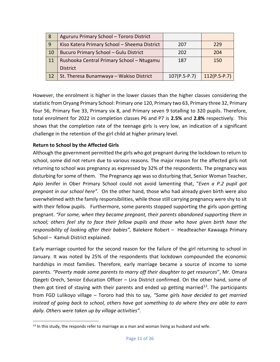| -8 | Agururu Primary School - Tororo District     |                |                |
|----|----------------------------------------------|----------------|----------------|
| 9  | Kiso Katera Primary School - Sheema District | 207            | 229            |
| 10 | <b>Bucuro Primary School - Gulu District</b> | 202            | 204            |
| 11 | Rushooka Central Primary School - Ntugamu    | 187            | 150            |
|    | <b>District</b>                              |                |                |
| 12 | St. Theresa Bunamwaya - Wakiso District      | $107(P.5-P.7)$ | $112(P.5-P.7)$ |

However, the enrolment is higher in the lower classes than the higher classes considering the statistic from Oryang Primary School: Primary one 120, Primary two 63, Primary three 32, Primary four 56, Primary five 33, Primary six 8, and Primary seven 9 totalling to 320 pupils. Therefore, total enrolment for 2022 in completion classes P6 and P7 is **2.5%** and **2.8%** respectively. This shows that the completion rate of the teenage girls is very low, an indication of a significant challenge in the retention of the girl child at higher primary level.

## <span id="page-10-0"></span>**Return to School by the Affected Girls**

 $\overline{\phantom{a}}$ 

Although the government permitted the girls who got pregnant during the lockdown to return to school, some did not return due to various reasons. The major reason for the affected girls not returning to school was pregnancy as expressed by 32% of the respondents. The pregnancy was disturbing for some of them. The Pregnancy age was so disturbing that, Senior Woman Teacher, Apio Jenifer in Ober Primary School could not avoid lamenting that, "*Even a P.2 pupil got pregnant in our school here".* On the other hand, those who had already given birth were also overwhelmed with the family responsibilities, while those still carrying pregnancy were shy to sit with their fellow pupils. Furthermore, some parents stopped supporting the girls upon getting pregnant. *"For some, when they became pregnant, their parents abandoned supporting them in school; others feel shy to face their fellow pupils and those who have given birth have the responsibility of looking after their babies",* Balekere Robert – Headteacher Kawaaga Primary School – Kamuli District explained.

Early marriage counted for the second reason for the failure of the girl returning to school in January. It was noted by 25% of the respondents that lockdown compounded the economic hardships in most families. Therefore, early marriage became a source of income to some parents. *"Poverty made some parents to marry off their daughter to get resources*", Mr. Omara Djegeti Orech, Senior Education Officer – Lira District confirmed. On the other hand, some of them got tired of staying with their parents and ended up getting married<sup>13</sup>. The participants from FGD Lulikoyo village – Tororo had this to say, *"Some girls have decided to get married instead of going back to school, others have got something to do where they are able to earn daily. Others were taken up by village activities".*

 $<sup>13</sup>$  In this study, the responds refer to marriage as a man and woman living as husband and wife.</sup>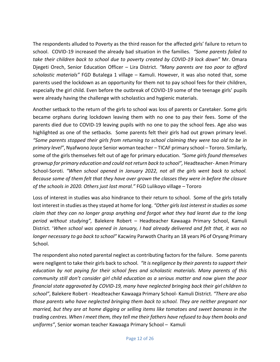The respondents alluded to Poverty as the third reason for the affected girls' failure to return to school. COVID-19 increased the already bad situation in the families. *"Some parents failed to take their children back to school due to poverty created by COVID-19 lock down"* Mr. Omara Djegeti Orech, Senior Education Officer – Lira District. *"Many parents are too poor to afford scholastic materials"* FGD Butalega 1 village – Kamuli. However, it was also noted that, some parents used the lockdown as an opportunity for them not to pay school fees for their children, especially the girl child. Even before the outbreak of COVID-19 some of the teenage girls' pupils were already having the challenge with scholastics and hygienic materials.

Another setback to the return of the girls to school was loss of parents or Caretaker. Some girls became orphans during lockdown leaving them with no one to pay their fees. Some of the parents died due to COVID-19 leaving pupils with no one to pay the school fees. Age also was highlighted as one of the setbacks. Some parents felt their girls had out grown primary level. *"Some parents stopped their girls from returning to school claiming they were too old to be in primary level"*, Nyafwono Joyce Senior woman teacher – TICAF primary school – Tororo. Similarly, some of the girls themselves felt out of age for primary education. *"Some girls found themselves grownup for primary education and could not return back to school",* Headteacher- Amen Primary School-Soroti. *"When school opened in January 2022, not all the girls went back to school. Because some of them felt that they have over grown the classes they were in before the closure of the schools in 2020. Others just lost moral."* FGD Lulikoyo village – Tororo

Loss of interest in studies was also hindrance to their return to school. Some of the girls totally lost interest in studies as they stayed at home for long. *"Other girlslost interest in studies as some claim that they can no longer grasp anything and forgot what they had learnt due to the long period without studying",* Balekere Robert – Headteacher Kawaaga Primary School, Kamuli District. '*When school was opened in January, I had already delivered and felt that, it was no longer necessary to go back to school"* Kacwiny Parwoth Charity an 18 years P6 of Oryang Primary School.

The respondent also noted parental neglect as contributing factors for the failure. Some parents were negligent to take their girls back to school*. "It is negligence by their parents to support their education by not paying for their school fees and scholastic materials. Many parents of this community still don't consider girl child education as a serious matter and now given the poor financial state aggravated by COVID-19, many have neglected bringing back their girl children to school"*, Balekere Robert - Headteacher Kawaaga Primary School- Kamuli District. *"There are also those parents who have neglected bringing them back to school. They are neither pregnant nor married, but they are at home digging or selling items like tomatoes and sweet bananas in the trading centres. When I meet them, they tell me their fathers have refused to buy them books and uniforms"*, Senior woman teacher Kawaaga Primary School – Kamuli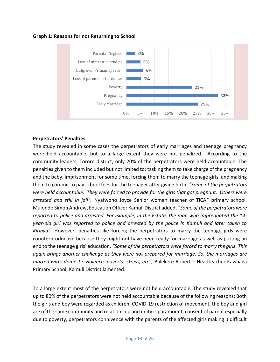



#### <span id="page-12-0"></span>**Perpetrators' Penalties**

The study revealed in some cases the perpetrators of early marriages and teenage pregnancy were held accountable, but to a large extent they were not penalized. According to the community leaders, Tororo district, only 20% of the perpetrators were held accountable. The penalties given to them included but not limited to: tasking them to take charge of the pregnancy and the baby, imprisonment for some time, forcing them to marry the teenage girls, and making them to commit to pay school fees for the teenager after giving birth. *"Some of the perpetrators were held accountable. They were forced to provide for the girls that got pregnant. Others were arrested and still in jail",* Nyafwono Joyce Senior woman teacher of TICAF primary school. Mulondo Simon Andrew, Education Officer Kamuli District added, *"Some of the perpetrators were reported to police and arrested. For example, in the Estate, the man who impregnated the 14 year-old girl was reported to police and arrested by the police in Kamuli and later taken to Kirinya".* However, penalties like forcing the perpetrators to marry the teenage girls were counterproductive because they might not have been ready for marriage as well as putting an end to the teenage girls' education. *"Some of the perpetrators were forced to marry the girls. This again brings another challenge as they were not prepared for marriage. So, the marriages are marred with: domestic violence, poverty, stress, etc",* Balekere Robert – Headteacher Kawaaga Primary School, Kamuli District lamented.

To a large extent most of the perpetrators were not held accountable. The study revealed that up to 80% of the perpetrators were not held accountable because of the following reasons: Both the girls and boy were regarded as children, COVID-19 restriction of movement, the boy and girl are of the same community and relationship and unity is paramount, consent of parent especially due to poverty, perpetrators connivence with the parents of the affected girls making it difficult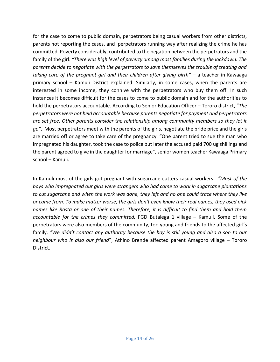for the case to come to public domain, perpetrators being casual workers from other districts, parents not reporting the cases, and perpetrators running way after realizing the crime he has committed. Poverty considerably, contributed to the negation between the perpetrators and the family of the girl. *"There was high level of poverty among most families during the lockdown. The parents decide to negotiate with the perpetrators to save themselves the trouble of treating and taking care of the pregnant girl and their children after giving birth" –* a teacher in Kawaaga primary school – Kamuli District explained. Similarly, in some cases, when the parents are interested in some income, they connive with the perpetrators who buy them off. In such instances it becomes difficult for the cases to come to public domain and for the authorities to hold the perpetrators accountable. According to Senior Education Officer – Tororo district, "*The perpetrators were not held accountable because parents negotiate for payment and perpetrators are set free. Other parents consider the relationship among community members so they let it go"*. Most perpetrators meet with the parents of the girls, negotiate the bride price and the girls are married off or agree to take care of the pregnancy. "One parent tried to sue the man who impregnated his daughter, took the case to police but later the accused paid 700 ug shillings and the parent agreed to give in the daughter for marriage", senior women teacher Kawaaga Primary school – Kamuli.

In Kamuli most of the girls got pregnant with sugarcane cutters casual workers. *"Most of the boys who impregnated our girls were strangers who had come to work in sugarcane plantations to cut sugarcane and when the work was done, they left and no one could trace where they live or came from. To make matter worse, the girls don't even know their real names, they used nick names like Rasta or one of their names. Therefore, it is difficult to find them and hold them accountable for the crimes they committed.* FGD Butalega 1 village – Kamuli. Some of the perpetrators were also members of the community, too young and friends to the affected girl's family. *"We didn't contact any authority because the boy is still young and also a son to our neighbour who is also our friend*", Athino Brende affected parent Amagoro village – Tororo District.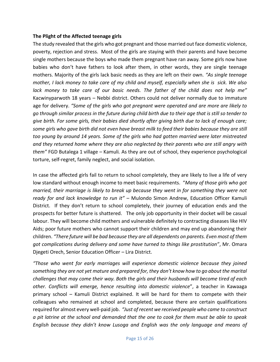#### <span id="page-14-0"></span>**The Plight of the Affected teenage girls**

The study revealed that the girls who got pregnant and those married out face domestic violence, poverty, rejection and stress. Most of the girls are staying with their parents and have become single mothers because the boys who made them pregnant have ran away*.* Some girls now have babies who don't have fathers to look after them, in other words, they are single teenage mothers. Majority of the girls lack basic needs as they are left on their own. *"As single teenage mother, I lack money to take care of my child and myself, especially when she is sick. We also lack money to take care of our basic needs. The father of the child does not help me"* Kacwinyparwoth 18 years – Nebbi district. Others could not deliver normally due to immature age for delivery. *"Some of the girls who got pregnant were operated and are more are likely to go through similar process in the future during child birth due to their age that is still so tender to give birth. For some girls, their babies died shortly after giving birth due to lack of enough care; some girls who gave birth did not even have breast milk to feed their babies because they are still too young by around 14 years. Some of the girls who had gotten married were later mistreated and they returned home where they are also neglected by their parents who are still angry with them"* FGD Butalega 1 village – Kamuli*.* As they are out of school, they experience psychological torture, self-regret, family neglect, and social isolation.

In case the affected girls fail to return to school completely, they are likely to live a life of very low standard without enough income to meet basic requirements. "*Many of those girls who got married, their marriage is likely to break up because they went in for something they were not ready for and lack knowledge to run it"* – Mulondo Simon Andrew, Education Officer Kamuli District. If they don't return to school completely, their journey of education ends and the prospects for better future is shattered. The only job opportunity in their docket will be casual labour. They will become child mothers and vulnerable definitely to contracting diseases like HIV Aids; poor future mothers who cannot support their children and may end up abandoning their children. *"There future will be bad because they are all dependents on parents. Even most of them got complications during delivery and some have turned to things like prostitution"*, Mr. Omara Djegeti Orech, Senior Education Officer – Lira District.

*"Those who went for early marriages will experience domestic violence because they joined something they are not yet mature and prepared for, they don't know how to go about the marital challenges that may come their way. Both the girls and their husbands will become tired of each other. Conflicts will emerge, hence resulting into domestic violence*", a teacher in Kawaaga primary school – Kamuli District explained. It will be hard for them to compete with their colleagues who remained at school and completed, because there are certain qualifications required for almost every well-paid job. *"Just of recent we received people who came to construct a pit latrine at the school and demanded that the one to cook for them must be able to speak English because they didn't know Lusoga and English was the only language and means of*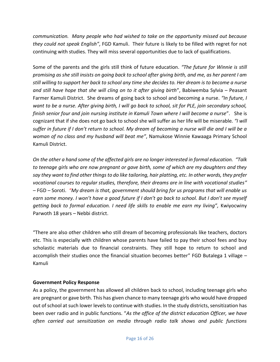*communication. Many people who had wished to take on the opportunity missed out because they could not speak English"*, FGD Kamuli. Their future is likely to be filled with regret for not continuing with studies. They will miss several opportunities due to lack of qualifications.

Some of the parents and the girls still think of future education. *"The future for Winnie is still promising as she still insists on going back to school after giving birth, and me, as her parent I am still willing to support her back to school any time she decides to. Her dream is to become a nurse and still have hope that she will cling on to it after giving birth*", Babiwemba Sylvia – Peasant Farmer Kamuli District. She dreams of going back to school and becoming a nurse. *"In future, I want to be a nurse. After giving birth, I will go back to school, sit for PLE, join secondary school, finish senior four and join nursing institute in Kamuli Town where I will become a nurse*". She is cognizant that if she does not go back to school she will suffer as her life will be miserable*. "I will suffer in future if I don't return to school. My dream of becoming a nurse will die and I will be a woman of no class and my husband will beat me"*, Namukose Winnie Kawaaga Primary School Kamuli District.

*On the other a hand some of the affected girls are no longer interested in formal education. "Talk to teenage girls who are now pregnant or gave birth, some of which are my daughters and they say they want to find other things to do like tailoring, hair platting, etc. In other words, they prefer vocational courses to regular studies, therefore, their dreams are in line with vocational studies" –* FGD – Soroti. *"My dream is that, government should bring for us programs that will enable us earn some money. I won't have a good future if I don't go back to school. But I don't see myself getting back to formal education. I need life skills to enable me earn my living",* Kwiyocwiny Parwoth 18 years – Nebbi district.

"There are also other children who still dream of becoming professionals like teachers, doctors etc. This is especially with children whose parents have failed to pay their school fees and buy scholastic materials due to financial constraints. They still hope to return to school and accomplish their studies once the financial situation becomes better" FGD Butalega 1 village – Kamuli

#### <span id="page-15-0"></span>**Government Policy Response**

As a policy, the government has allowed all children back to school, including teenage girls who are pregnant or gave birth. This has given chance to many teenage girls who would have dropped out of school at such lower levels to continue with studies. In the study districts, sensitization has been over radio and in public functions. "*As the office of the district education Officer, we have often carried out sensitization on media through radio talk shows and public functions*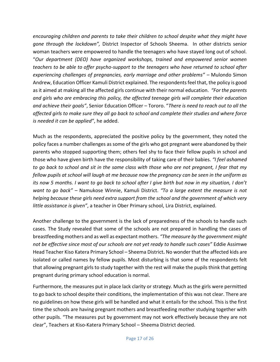*encouraging children and parents to take their children to school despite what they might have gone through the lockdown",* District Inspector of Schools Sheema. In other districts senior woman teachers were empowered to handle the teenagers who have stayed long out of school. "*Our department (DEO) have organized workshops, trained and empowered senior women teachers to be able to offer psycho-support to the teenagers who have returned to school after experiencing challenges of pregnancies, early marriage and other problems" –* Mulondo Simon Andrew, Education Officer Kamuli District explained. The respondents feel that, the policy is good as it aimed at making all the affected girls continue with their normal education. *"For the parents and girls who are embracing this policy, the affected teenage girls will complete their education and achieve their goals"*, Senior Education Officer – Tororo. "*There is need to reach out to all the affected girls to make sure they all go back to school and complete their studies and where force is needed it can be applied"*, he added.

Much as the respondents, appreciated the positive policy by the government, they noted the policy faces a number challenges as some of the girls who got pregnant were abandoned by their parents who stopped supporting them; others feel shy to face their fellow pupils in school and those who have given birth have the responsibility of taking care of their babies. *"I feel ashamed to go back to school and sit in the same class with those who are not pregnant, I fear that my fellow pupils at school will laugh at me because now the pregnancy can be seen in the uniform as its now 5 months. I want to go back to school after I give birth but now in my situation, I don't want to go back" –* Namukose Winnie, Kamuli District. *"To a large extent the measure is not helping because these girls need extra support from the school and the government of which very little assistance is given"*, a teacher in Ober Primary school, Lira District, explained.

Another challenge to the government is the lack of preparedness of the schools to handle such cases. The Study revealed that some of the schools are not prepared in handling the cases of breastfeeding mothers and as well as expectant mothers. *"The measure by the government might not be effective since most of our schools are not yet ready to handle such cases"* Eddie Assimwe Head Teacher Kiso Katera Primary School – Sheema District**.** No wonder that the affected kids are isolated or called names by fellow pupils. Most disturbing is that some of the respondents felt that allowing pregnant girls to study together with the rest will make the pupils think that getting pregnant during primary school education is normal.

Furthermore, the measures put in place lack clarity or strategy. Much as the girls were permitted to go back to school despite their conditions, the implementation of this was not clear. There are no guidelines on how these girls will be handled and what it entails for the school. This is the first time the schools are having pregnant mothers and breastfeeding mother studying together with other pupils. "The measures put by government may not work effectively because they are not clear", Teachers at Kiso-Katera Primary School – Sheema District decried.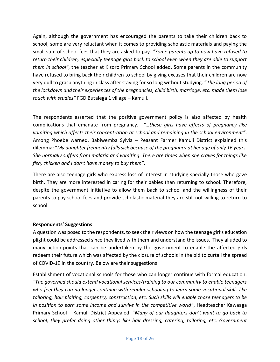Again, although the government has encouraged the parents to take their children back to school, some are very reluctant when it comes to providing scholastic materials and paying the small sum of school fees that they are asked to pay. *"Some parents up to now have refused to return their children, especially teenage girls back to school even when they are able to support them in school"*, the teacher at Kisoro Primary School added. Some parents in the community have refused to bring back their children to school by giving excuses that their children are now very dull to grasp anything in class after staying for so long without studying. "*The long period of the lockdown and their experiences of the pregnancies, child birth, marriage, etc. made them lose touch with studies"* FGD Butalega 1 village – Kamuli.

The respondents asserted that the positive government policy is also affected by health complications that emanate from pregnancy. *"…these girls have effects of pregnancy like vomiting which affects their concentration at school and remaining in the school environment"*, Among Phoebe warned. Babiwemba Sylvia – Peasant Farmer Kamuli District explained this dilemma: "*My daughter frequently falls sick because of the pregnancy at her age of only 16 years. She normally suffers from malaria and vomiting. There are times when she craves for things like fish, chicken and I don't have money to buy them"*.

There are also teenage girls who express loss of interest in studying specially those who gave birth. They are more interested in caring for their babies than returning to school. Therefore, despite the government initiative to allow them back to school and the willingness of their parents to pay school fees and provide scholastic material they are still not willing to return to school.

#### <span id="page-17-0"></span>**Respondents' Suggestions**

A question was posed to the respondents, to seek their views on how the teenage girl's education plight could be addressed since they lived with them and understand the issues. They alluded to many action-points that can be undertaken by the government to enable the affected girls redeem their future which was affected by the closure of schools in the bid to curtail the spread of COVID-19 in the country. Below are their suggestions:

Establishment of vocational schools for those who can longer continue with formal education. *"The governed should extend vocational services/training to our community to enable teenagers who feel they can no longer continue with regular schooling to learn some vocational skills like tailoring, hair plaiting, carpentry, construction, etc. Such skills will enable those teenagers to be in position to earn some income and survive in the competitive world"*, Headteacher Kawaaga Primary School – Kamuli District Appealed. "*Many of our daughters don't want to go back to school, they prefer doing other things like hair dressing, catering, tailoring, etc. Government*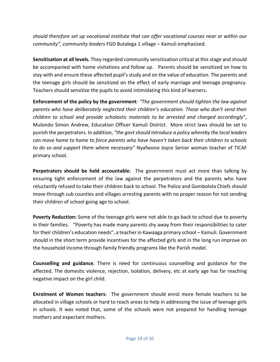*should therefore set up vocational institute that can offer vocational courses near or within our community", community leaders* FGD Butalega 1 village – Kamuli emphasized.

**Sensitisation at all levels.** They regarded community sensitisation critical at this stage and should be accompanied with home visitations and follow up. Parents should be sensitized on how to stay with and ensure these affected pupil's study and on the value of education. The parents and the teenage girls should be sensitized on the effect of early marriage and teenage pregnancy. Teachers should sensitize the pupils to avoid intimidating this kind of learners.

**Enforcement of the policy by the government***: "The government should tighten the law against parents who have deliberately neglected their children's education. Those who don't send their children to school and provide scholastic materials to be arrested and charged accordingly*", Mulondo Simon Andrew, Education Officer Kamuli District. More strict laws should be set to punish the perpetrators. In addition, *"the govt should introduce a policy whereby the local leaders can move home to home to force parents who have haven't taken back their children to schools to do so and support them where necessary"* Nyafwono Joyce Senior woman teacher of TICAF primary school.

**Perpetrators should be held accountable**: The government must act more than talking by ensuring tight enforcement of the law against the perpetrators and the parents who have reluctantly refused to take their children back to school. The Police and Gombolola Chiefs should move through sub counties and villages arresting parents with no proper reason for not sending their children of school going age to school.

**Poverty Reduction:** Some of the teenage girls were not able to go back to school due to poverty in their families. "Poverty has made many parents shy away from their responsibilities to cater for their children's education needs", a teacher in Kawaaga primary school – Kamuli. Government should in the short term provide incentives for the affected girls and in the long run improve on the household income through family friendly programs like the Parish model.

**Counselling and guidance**. There is need for continuous counselling and guidance for the affected. The domestic violence, rejection, isolation, delivery, etc at early age has far reaching negative impact on the girl child.

**Enrolment of Women teachers**: The government should enrol more female teachers to be allocated in village schools or hard to reach areas to help in addressing the issue of teenage girls in schools. It was noted that, some of the schools were not prepared for handling teenage mothers and expectant mothers.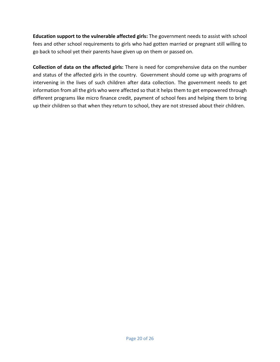**Education support to the vulnerable affected girls:** The government needs to assist with school fees and other school requirements to girls who had gotten married or pregnant still willing to go back to school yet their parents have given up on them or passed on.

**Collection of data on the affected girls:** There is need for comprehensive data on the number and status of the affected girls in the country. Government should come up with programs of intervening in the lives of such children after data collection. The government needs to get information from all the girls who were affected so that it helps them to get empowered through different programs like micro finance credit, payment of school fees and helping them to bring up their children so that when they return to school, they are not stressed about their children.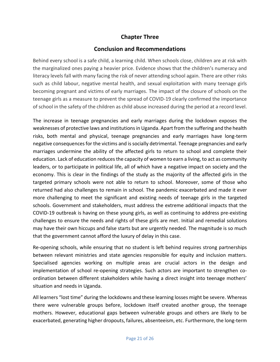# **Chapter Three**

# **Conclusion and Recommendations**

<span id="page-20-1"></span><span id="page-20-0"></span>Behind every school is a safe child, a learning child. When schools close, children are at risk with the marginalized ones paying a heavier price. Evidence shows that the children's numeracy and literacy levels fall with many facing the risk of never attending school again. There are other risks such as child labour, negative mental health, and sexual exploitation with many teenage girls becoming pregnant and victims of early marriages. The impact of the closure of schools on the teenage girls as a measure to prevent the spread of COVID-19 clearly confirmed the importance of school in the safety of the children as child abuse increased during the period at a record level.

The increase in teenage pregnancies and early marriages during the lockdown exposes the weaknesses of protective laws and institutions in Uganda. Apart from the suffering and the health risks, both mental and physical, teenage pregnancies and early marriages have long-term negative consequences for the victims and is socially detrimental. Teenage pregnancies and early marriages undermine the ability of the affected girls to return to school and complete their education. Lack of education reduces the capacity of women to earn a living, to act as community leaders, or to participate in political life, all of which have a negative impact on society and the economy. This is clear in the findings of the study as the majority of the affected girls in the targeted primary schools were not able to return to school. Moreover, some of those who returned had also challenges to remain in school. The pandemic exacerbated and made it ever more challenging to meet the significant and existing needs of teenage girls in the targeted schools. Government and stakeholders, must address the extreme additional impacts that the COVID-19 outbreak is having on these young girls, as well as continuing to address pre-existing challenges to ensure the needs and rights of these girls are met. Initial and remedial solutions may have their own hiccups and false starts but are urgently needed. The magnitude is so much that the government cannot afford the luxury of delay in this case.

Re-opening schools, while ensuring that no student is left behind requires strong partnerships between relevant ministries and state agencies responsible for equity and inclusion matters. Specialised agencies working on multiple areas are crucial actors in the design and implementation of school re-opening strategies. Such actors are important to strengthen coordination between different stakeholders while having a direct insight into teenage mothers' situation and needs in Uganda.

All learners "lost time" during the lockdowns and these learning losses might be severe. Whereas there were vulnerable groups before, lockdown itself created another group, the teenage mothers. However, educational gaps between vulnerable groups and others are likely to be exacerbated, generating higher dropouts, failures, absenteeism, etc. Furthermore, the long-term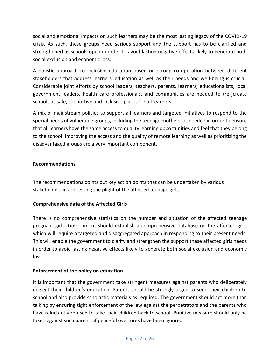social and emotional impacts on such learners may be the most lasting legacy of the COVID-19 crisis. As such, these groups need serious support and the support has to be clarified and strengthened as schools open in order to avoid lasting negative effects likely to generate both social exclusion and economic loss.

A holistic approach to inclusive education based on strong co-operation between different stakeholders that address learners' education as well as their needs and well-being is crucial. Considerable joint efforts by school leaders, teachers, parents, learners, educationalists, local government leaders, health care professionals, and communities are needed to (re-)create schools as safe, supportive and inclusive places for all learners.

A mix of mainstream policies to support all learners and targeted initiatives to respond to the special needs of vulnerable groups, including the teenage mothers, is needed in order to ensure that all learners have the same access to quality learning opportunities and feel that they belong to the school. Improving the access and the quality of remote learning as well as prioritizing the disadvantaged groups are a very important component.

## <span id="page-21-0"></span>**Recommendations**

The recommendations points out key action points that can be undertaken by various stakeholders in addressing the plight of the affected teenage girls.

# **Comprehensive data of the Affected Girls**

There is no comprehensive statistics on the number and situation of the affected teenage pregnant girls. Government should establish a comprehensive database on the affected girls which will require a targeted and disaggregated approach in responding to their present needs. This will enable the government to clarify and strengthen the support these affected girls needs in order to avoid lasting negative effects likely to generate both social exclusion and economic loss.

# **Enforcement of the policy on education**

It is important that the government take stringent measures against parents who deliberately neglect their children's education. Parents should be strongly urged to send their children to school and also provide scholastic materials as required. The government should act more than talking by ensuring tight enforcement of the law against the perpetrators and the parents who have reluctantly refused to take their children back to school. Punitive measure should only be taken against such parents if peaceful overtures have been ignored.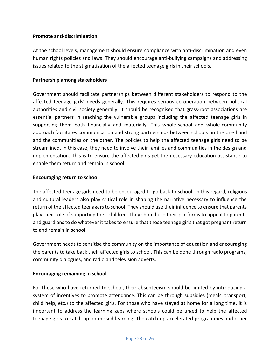#### **Promote anti-discrimination**

At the school levels, management should ensure compliance with anti-discrimination and even human rights policies and laws. They should encourage anti-bullying campaigns and addressing issues related to the stigmatisation of the affected teenage girls in their schools.

#### **Partnership among stakeholders**

Government should facilitate partnerships between different stakeholders to respond to the affected teenage girls' needs generally. This requires serious co-operation between political authorities and civil society generally. It should be recognised that grass-root associations are essential partners in reaching the vulnerable groups including the affected teenage girls in supporting them both financially and materially. This whole-school and whole-community approach facilitates communication and strong partnerships between schools on the one hand and the communities on the other. The policies to help the affected teenage girls need to be streamlined, in this case, they need to involve their families and communities in the design and implementation. This is to ensure the affected girls get the necessary education assistance to enable them return and remain in school.

#### **Encouraging return to school**

The affected teenage girls need to be encouraged to go back to school. In this regard, religious and cultural leaders also play critical role in shaping the narrative necessary to influence the return of the affected teenagers to school. They should use their influence to ensure that parents play their role of supporting their children. They should use their platforms to appeal to parents and guardians to do whatever it takes to ensure that those teenage girls that got pregnant return to and remain in school.

Government needs to sensitise the community on the importance of education and encouraging the parents to take back their affected girls to school. This can be done through radio programs, community dialogues, and radio and television adverts.

#### **Encouraging remaining in school**

For those who have returned to school, their absenteeism should be limited by introducing a system of incentives to promote attendance. This can be through subsidies (meals, transport, child help, etc.) to the affected girls. For those who have stayed at home for a long time, it is important to address the learning gaps where schools could be urged to help the affected teenage girls to catch up on missed learning. The catch-up accelerated programmes and other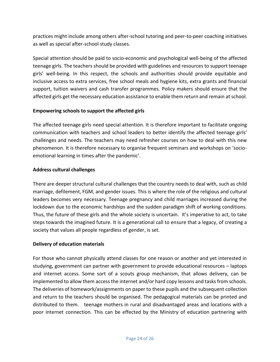practices might include among others after-school tutoring and peer-to-peer coaching initiatives as well as special after-school study classes.

Special attention should be paid to socio-economic and psychological well-being of the affected teenage girls. The teachers should be provided with guidelines and resources to support teenage girls' well-being. In this respect, the schools and authorities should provide equitable and inclusive access to extra services, free school meals and hygiene kits, extra grants and financial support, tuition waivers and cash transfer programmes. Policy makers should ensure that the affected girls get the necessary education assistance to enable them return and remain at school.

## **Empowering schools to support the affected girls**

The affected teenage girls need special attention. It is therefore important to facilitate ongoing communication with teachers and school leaders to better identify the affected teenage girls' challenges and needs. The teachers may need refresher courses on how to deal with this new phenomenon. It is therefore necessary to organise frequent seminars and workshops on 'socioemotional learning in times after the pandemic'.

#### **Address cultural challenges**

There are deeper structural cultural challenges that the country needs to deal with, such as child marriage, defilement, FGM, and gender issues. This is where the role of the religious and cultural leaders becomes very necessary. Teenage pregnancy and child marriages increased during the lockdown due to the economic hardships and the sudden paradigm shift of working conditions. Thus, the future of these girls and the whole society is uncertain. It's imperative to act, to take steps towards the imagined future. It is a generational call to ensure that a legacy, of creating a society that values all people regardless of gender, is set.

#### <span id="page-23-0"></span>**Delivery of education materials**

For those who cannot physically attend classes for one reason or another and yet interested in studying, government can partner with government to provide educational resources – laptops and internet access. Some sort of a scouts group mechanism, that allows delivery, can be implemented to allow them access the internet and/or hard copy lessons and tasks from schools. The deliveries of homework/assignments on paper to these pupils and the subsequent collection and return to the teachers should be organised. The pedagogical materials can be printed and distributed to them. teenage mothers in rural and disadvantaged areas and locations with a poor internet connection. This can be effected by the Ministry of education partnering with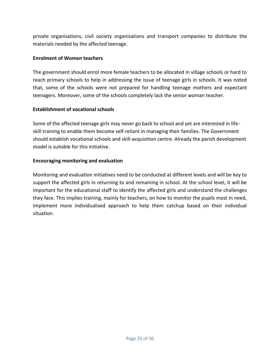private organisations, civil society organisations and transport companies to distribute the materials needed by the affected teenage.

#### **Enrolment of Women teachers**

The government should enrol more female teachers to be allocated in village schools or hard to reach primary schools to help in addressing the issue of teenage girls in schools. It was noted that, some of the schools were not prepared for handling teenage mothers and expectant teenagers. Moreover, some of the schools completely lack the senior woman teacher.

# **Establishment of vocational schools**

Some of the affected teenage girls may never go back to school and yet are interested in lifeskill training to enable them become self-reliant in managing their families. The Government should establish vocational schools and skill-acquisition centre. Already the parish development model is suitable for this initiative.

## **Encouraging monitoring and evaluation**

Monitoring and evaluation initiatives need to be conducted at different levels and will be key to support the affected girls in returning to and remaining in school. At the school level, it will be important for the educational staff to identify the affected girls and understand the challenges they face. This implies training, mainly for teachers, on how to monitor the pupils most in need, implement more individualised approach to help them catchup based on their individual situation.